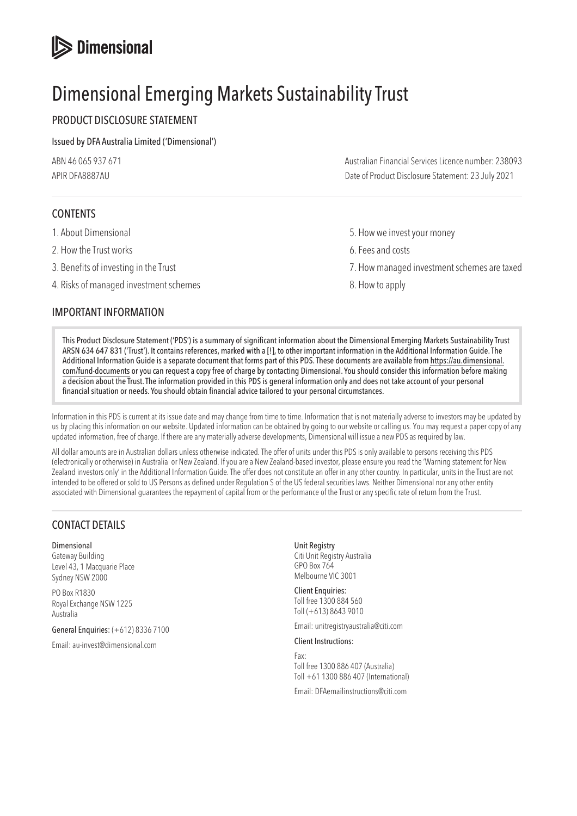# **S** Dimensional

# Dimensional Emerging Markets Sustainability Trust

# PRODUCT DISCLOSURE STATEMENT

#### Issued by DFA Australia Limited ('Dimensional')

| ABN 46 065 937 671 | Australian Financial Services Licence number: 238093 |
|--------------------|------------------------------------------------------|
| APIR DFA8887AU     | Date of Product Disclosure Statement: 23 July 2021   |

# CONTENTS

- 
- 2. How the Trust works **6. Fees and costs**
- 
- 4. Risks of managed investment schemes 8. How to apply

## IMPORTANT INFORMATION

- 1. About Dimensional **1.** About Dimensional **5.** How we invest your money
	-
- 3. Benefits of investing in the Trust 7. How managed investment schemes are taxed
	-

This Product Disclosure Statement ('PDS') is a summary of significant information about the Dimensional Emerging Markets Sustainability Trust ARSN 634 647 831 ('Trust'). It contains references, marked with a [!], to other important information in the Additional Information Guide. The Additional Information Guide is a separate document that forms part of this PDS. These documents are available from [https://au.dimensional.](https://au.dimensional.com/fund-documents) [com/fund-documents](https://au.dimensional.com/fund-documents) or you can request a copy free of charge by contacting Dimensional. You should consider this information before making a decision about the Trust. The information provided in this PDS is general information only and does not take account of your personal financial situation or needs. You should obtain financial advice tailored to your personal circumstances.

Information in this PDS is current at its issue date and may change from time to time. Information that is not materially adverse to investors may be updated by us by placing this information on our website. Updated information can be obtained by going to our website or calling us. You may request a paper copy of any updated information, free of charge. If there are any materially adverse developments, Dimensional will issue a new PDS as required by law.

All dollar amounts are in Australian dollars unless otherwise indicated. The offer of units under this PDS is only available to persons receiving this PDS (electronically or otherwise) in Australia or New Zealand. If you are a New Zealand-based investor, please ensure you read the 'Warning statement for New Zealand investors only' in the Additional Information Guide. The offer does not constitute an offer in any other country. In particular, units in the Trust are not intended to be offered or sold to US Persons as defined under Regulation S of the US federal securities laws. Neither Dimensional nor any other entity associated with Dimensional guarantees the repayment of capital from or the performance of the Trust or any specific rate of return from the Trust.

# CONTACT DETAILS

Dimensional Gateway Building Level 43, 1 Macquarie Place Sydney NSW 2000

PO Box R1830 Royal Exchange NSW 1225 Australia

General Enquiries: (+612) 8336 7100

Email: au-invest@dimensional.com

Unit Registry Citi Unit Registry Australia GPO Box 764 Melbourne VIC 3001

Client Enquiries: Toll free 1300 884 560 Toll (+613) 8643 9010

Email: unitregistryaustralia@citi.com

Client Instructions:

Fax: Toll free 1300 886 407 (Australia) Toll +61 1300 886 407 (International)

Email: DFAemailinstructions@citi.com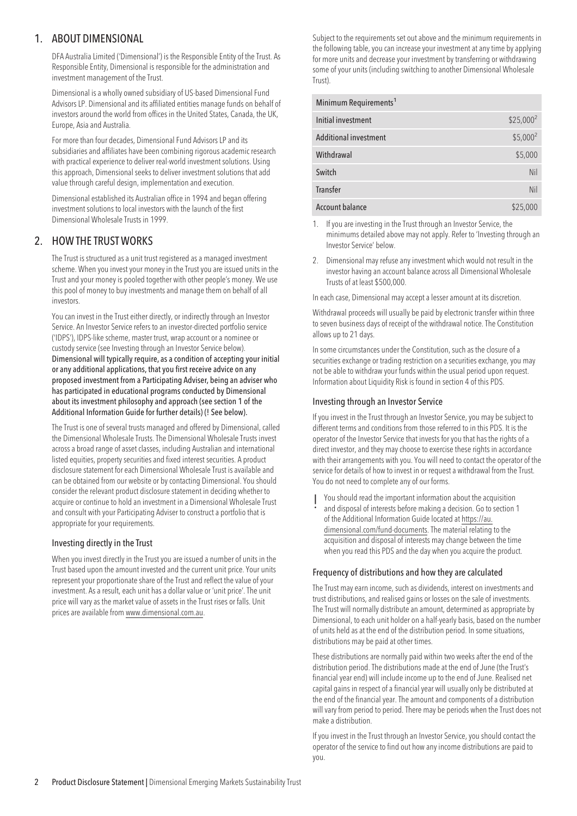## 1. ABOUT DIMENSIONAL

DFA Australia Limited ('Dimensional') is the Responsible Entity of the Trust. As Responsible Entity, Dimensional is responsible for the administration and investment management of the Trust.

Dimensional is a wholly owned subsidiary of US-based Dimensional Fund Advisors LP. Dimensional and its affiliated entities manage funds on behalf of investors around the world from offices in the United States, Canada, the UK, Europe, Asia and Australia.

For more than four decades, Dimensional Fund Advisors LP and its subsidiaries and affiliates have been combining rigorous academic research with practical experience to deliver real-world investment solutions. Using this approach, Dimensional seeks to deliver investment solutions that add value through careful design, implementation and execution.

Dimensional established its Australian office in 1994 and began offering investment solutions to local investors with the launch of the first Dimensional Wholesale Trusts in 1999.

# 2. HOW THE TRUST WORKS

The Trust is structured as a unit trust registered as a managed investment scheme. When you invest your money in the Trust you are issued units in the Trust and your money is pooled together with other people's money. We use this pool of money to buy investments and manage them on behalf of all investors.

You can invest in the Trust either directly, or indirectly through an Investor Service. An Investor Service refers to an investor-directed portfolio service ('IDPS'), IDPS-like scheme, master trust, wrap account or a nominee or custody service (see Investing through an Investor Service below). Dimensional will typically require, as a condition of accepting your initial or any additional applications, that you first receive advice on any proposed investment from a Participating Adviser, being an adviser who has participated in educational programs conducted by Dimensional about its investment philosophy and approach (see section 1 of the Additional Information Guide for further details) (! See below).

The Trust is one of several trusts managed and offered by Dimensional, called the Dimensional Wholesale Trusts. The Dimensional Wholesale Trusts invest across a broad range of asset classes, including Australian and international listed equities, property securities and fixed interest securities. A product disclosure statement for each Dimensional Wholesale Trust is available and can be obtained from our website or by contacting Dimensional. You should consider the relevant product disclosure statement in deciding whether to acquire or continue to hold an investment in a Dimensional Wholesale Trust and consult with your Participating Adviser to construct a portfolio that is appropriate for your requirements.

#### Investing directly in the Trust

When you invest directly in the Trust you are issued a number of units in the Trust based upon the amount invested and the current unit price. Your units represent your proportionate share of the Trust and reflect the value of your investment. As a result, each unit has a dollar value or 'unit price'. The unit price will vary as the market value of assets in the Trust rises or falls. Unit prices are available from [www.dimensional.com.au.](www.dimensional.com.au)

Subject to the requirements set out above and the minimum requirements in the following table, you can increase your investment at any time by applying for more units and decrease your investment by transferring or withdrawing some of your units (including switching to another Dimensional Wholesale Trust).

| Minimum Requirements <sup>1</sup> |             |
|-----------------------------------|-------------|
| Initial investment                | $$25,000^2$ |
| <b>Additional investment</b>      | $$5,000^2$  |
| Withdrawal                        | \$5,000     |
| Switch                            | Nil         |
| Transfer                          | Nil         |
| <b>Account balance</b>            | \$25,000    |

- 1. If you are investing in the Trust through an Investor Service, the minimums detailed above may not apply. Refer to 'Investing through an Investor Service' below.
- 2. Dimensional may refuse any investment which would not result in the investor having an account balance across all Dimensional Wholesale Trusts of at least \$500,000.

In each case, Dimensional may accept a lesser amount at its discretion.

Withdrawal proceeds will usually be paid by electronic transfer within three to seven business days of receipt of the withdrawal notice. The Constitution allows up to 21 days.

In some circumstances under the Constitution, such as the closure of a securities exchange or trading restriction on a securities exchange, you may not be able to withdraw your funds within the usual period upon request. Information about Liquidity Risk is found in section 4 of this PDS.

#### Investing through an Investor Service

If you invest in the Trust through an Investor Service, you may be subject to different terms and conditions from those referred to in this PDS. It is the operator of the Investor Service that invests for you that has the rights of a direct investor, and they may choose to exercise these rights in accordance with their arrangements with you. You will need to contact the operator of the service for details of how to invest in or request a withdrawal from the Trust. You do not need to complete any of our forms.

! You should read the important information about the acquisition and disposal of interests before making a decision. Go to section 1 of the Additional Information Guide located at [https://au.](https://au.dimensional.com/fund-documents) [dimensional.com/fund-documents.](https://au.dimensional.com/fund-documents) The material relating to the acquisition and disposal of interests may change between the time when you read this PDS and the day when you acquire the product.

#### Frequency of distributions and how they are calculated

The Trust may earn income, such as dividends, interest on investments and trust distributions, and realised gains or losses on the sale of investments. The Trust will normally distribute an amount, determined as appropriate by Dimensional, to each unit holder on a half-yearly basis, based on the number of units held as at the end of the distribution period. In some situations, distributions may be paid at other times.

These distributions are normally paid within two weeks after the end of the distribution period. The distributions made at the end of June (the Trust's financial year end) will include income up to the end of June. Realised net capital gains in respect of a financial year will usually only be distributed at the end of the financial year. The amount and components of a distribution will vary from period to period. There may be periods when the Trust does not make a distribution.

If you invest in the Trust through an Investor Service, you should contact the operator of the service to find out how any income distributions are paid to you.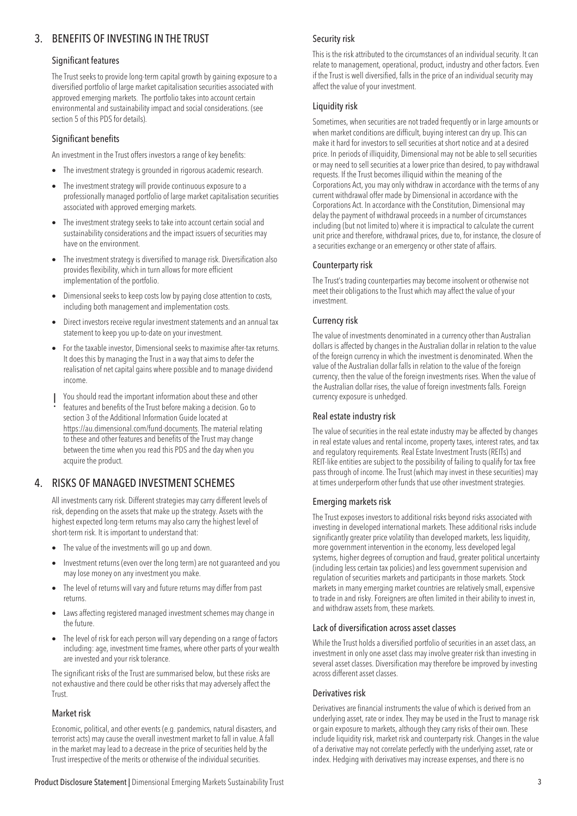# 3. BENEFITS OF INVESTING IN THE TRUST

#### Significant features

The Trust seeks to provide long-term capital growth by gaining exposure to a diversified portfolio of large market capitalisation securities associated with approved emerging markets. The portfolio takes into account certain environmental and sustainability impact and social considerations. (see section 5 of this PDS for details).

#### Significant benefits

An investment in the Trust offers investors a range of key benefits:

- The investment strategy is grounded in rigorous academic research.
- The investment strategy will provide continuous exposure to a professionally managed portfolio of large market capitalisation securities associated with approved emerging markets.
- The investment strategy seeks to take into account certain social and sustainability considerations and the impact issuers of securities may have on the environment.
- The investment strategy is diversified to manage risk. Diversification also provides flexibility, which in turn allows for more efficient implementation of the portfolio.
- Dimensional seeks to keep costs low by paying close attention to costs, including both management and implementation costs.
- Direct investors receive regular investment statements and an annual tax statement to keep you up-to-date on your investment.
- For the taxable investor, Dimensional seeks to maximise after-tax returns. It does this by managing the Trust in a way that aims to defer the realisation of net capital gains where possible and to manage dividend income.
- ! You should read the important information about these and other features and benefits of the Trust before making a decision. Go to section 3 of the Additional Information Guide located at [https://au.dimensional.com/fund-documents.](https://au.dimensional.com/fund-documents) The material relating to these and other features and benefits of the Trust may change between the time when you read this PDS and the day when you acquire the product.

## 4. RISKS OF MANAGED INVESTMENT SCHEMES

All investments carry risk. Different strategies may carry different levels of risk, depending on the assets that make up the strategy. Assets with the highest expected long-term returns may also carry the highest level of short-term risk. It is important to understand that:

- The value of the investments will go up and down.
- Investment returns (even over the long term) are not guaranteed and you may lose money on any investment you make.
- The level of returns will vary and future returns may differ from past returns.
- Laws affecting registered managed investment schemes may change in the future.
- The level of risk for each person will vary depending on a range of factors including: age, investment time frames, where other parts of your wealth are invested and your risk tolerance.

The significant risks of the Trust are summarised below, but these risks are not exhaustive and there could be other risks that may adversely affect the Trust.

#### Market risk

Economic, political, and other events (e.g. pandemics, natural disasters, and terrorist acts) may cause the overall investment market to fall in value. A fall in the market may lead to a decrease in the price of securities held by the Trust irrespective of the merits or otherwise of the individual securities.

#### Security risk

This is the risk attributed to the circumstances of an individual security. It can relate to management, operational, product, industry and other factors. Even if the Trust is well diversified, falls in the price of an individual security may affect the value of your investment.

#### Liquidity risk

Sometimes, when securities are not traded frequently or in large amounts or when market conditions are difficult, buying interest can dry up. This can make it hard for investors to sell securities at short notice and at a desired price. In periods of illiquidity, Dimensional may not be able to sell securities or may need to sell securities at a lower price than desired, to pay withdrawal requests. If the Trust becomes illiquid within the meaning of the Corporations Act, you may only withdraw in accordance with the terms of any current withdrawal offer made by Dimensional in accordance with the Corporations Act. In accordance with the Constitution, Dimensional may delay the payment of withdrawal proceeds in a number of circumstances including (but not limited to) where it is impractical to calculate the current unit price and therefore, withdrawal prices, due to, for instance, the closure of a securities exchange or an emergency or other state of affairs.

#### Counterparty risk

The Trust's trading counterparties may become insolvent or otherwise not meet their obligations to the Trust which may affect the value of your investment.

#### Currency risk

The value of investments denominated in a currency other than Australian dollars is affected by changes in the Australian dollar in relation to the value of the foreign currency in which the investment is denominated. When the value of the Australian dollar falls in relation to the value of the foreign currency, then the value of the foreign investments rises. When the value of the Australian dollar rises, the value of foreign investments falls. Foreign currency exposure is unhedged.

#### Real estate industry risk

The value of securities in the real estate industry may be affected by changes in real estate values and rental income, property taxes, interest rates, and tax and regulatory requirements. Real Estate Investment Trusts (REITs) and REIT-like entities are subject to the possibility of failing to qualify for tax free pass through of income. The Trust (which may invest in these securities) may at times underperform other funds that use other investment strategies.

#### Emerging markets risk

The Trust exposes investors to additional risks beyond risks associated with investing in developed international markets. These additional risks include significantly greater price volatility than developed markets, less liquidity, more government intervention in the economy, less developed legal systems, higher degrees of corruption and fraud, greater political uncertainty (including less certain tax policies) and less government supervision and regulation of securities markets and participants in those markets. Stock markets in many emerging market countries are relatively small, expensive to trade in and risky. Foreigners are often limited in their ability to invest in, and withdraw assets from, these markets.

#### Lack of diversification across asset classes

While the Trust holds a diversified portfolio of securities in an asset class, an investment in only one asset class may involve greater risk than investing in several asset classes. Diversification may therefore be improved by investing across different asset classes.

#### Derivatives risk

Derivatives are financial instruments the value of which is derived from an underlying asset, rate or index. They may be used in the Trust to manage risk or gain exposure to markets, although they carry risks of their own. These include liquidity risk, market risk and counterparty risk. Changes in the value of a derivative may not correlate perfectly with the underlying asset, rate or index. Hedging with derivatives may increase expenses, and there is no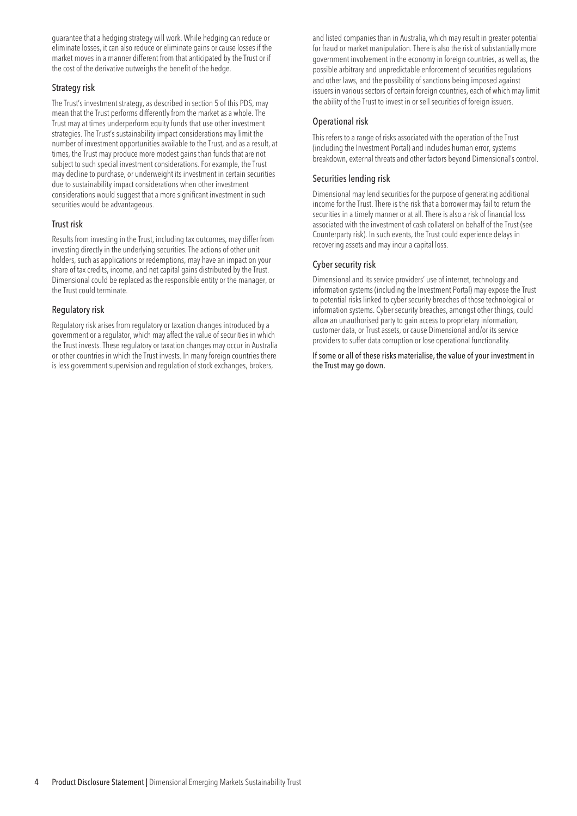guarantee that a hedging strategy will work. While hedging can reduce or eliminate losses, it can also reduce or eliminate gains or cause losses if the market moves in a manner different from that anticipated by the Trust or if the cost of the derivative outweighs the benefit of the hedge.

#### Strategy risk

The Trust's investment strategy, as described in section 5 of this PDS, may mean that the Trust performs differently from the market as a whole. The Trust may at times underperform equity funds that use other investment strategies. The Trust's sustainability impact considerations may limit the number of investment opportunities available to the Trust, and as a result, at times, the Trust may produce more modest gains than funds that are not subject to such special investment considerations. For example, the Trust may decline to purchase, or underweight its investment in certain securities due to sustainability impact considerations when other investment considerations would suggest that a more significant investment in such securities would be advantageous.

#### Trust risk

Results from investing in the Trust, including tax outcomes, may differ from investing directly in the underlying securities. The actions of other unit holders, such as applications or redemptions, may have an impact on your share of tax credits, income, and net capital gains distributed by the Trust. Dimensional could be replaced as the responsible entity or the manager, or the Trust could terminate.

#### Regulatory risk

Regulatory risk arises from regulatory or taxation changes introduced by a government or a regulator, which may affect the value of securities in which the Trust invests. These regulatory or taxation changes may occur in Australia or other countries in which the Trust invests. In many foreign countries there is less government supervision and regulation of stock exchanges, brokers,

and listed companies than in Australia, which may result in greater potential for fraud or market manipulation. There is also the risk of substantially more government involvement in the economy in foreign countries, as well as, the possible arbitrary and unpredictable enforcement of securities regulations and other laws, and the possibility of sanctions being imposed against issuers in various sectors of certain foreign countries, each of which may limit the ability of the Trust to invest in or sell securities of foreign issuers.

#### Operational risk

This refers to a range of risks associated with the operation of the Trust (including the Investment Portal) and includes human error, systems breakdown, external threats and other factors beyond Dimensional's control.

#### Securities lending risk

Dimensional may lend securities for the purpose of generating additional income for the Trust. There is the risk that a borrower may fail to return the securities in a timely manner or at all. There is also a risk of financial loss associated with the investment of cash collateral on behalf of the Trust (see Counterparty risk). In such events, the Trust could experience delays in recovering assets and may incur a capital loss.

#### Cyber security risk

Dimensional and its service providers' use of internet, technology and information systems (including the Investment Portal) may expose the Trust to potential risks linked to cyber security breaches of those technological or information systems. Cyber security breaches, amongst other things, could allow an unauthorised party to gain access to proprietary information, customer data, or Trust assets, or cause Dimensional and/or its service providers to suffer data corruption or lose operational functionality.

If some or all of these risks materialise, the value of your investment in the Trust may go down.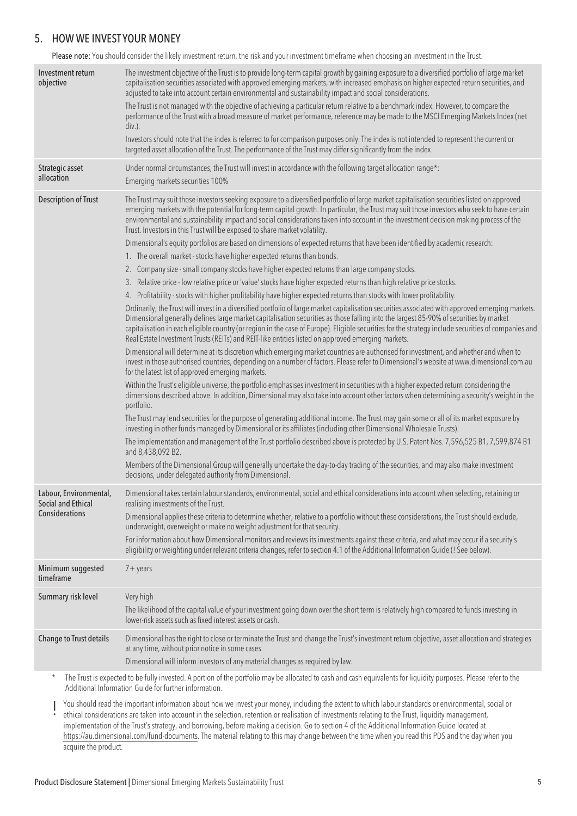### 5. HOW WE INVEST YOUR MONEY

Please note: You should consider the likely investment return, the risk and your investment timeframe when choosing an investment in the Trust.

| Investment return<br>objective              | The investment objective of the Trust is to provide long-term capital growth by gaining exposure to a diversified portfolio of large market<br>capitalisation securities associated with approved emerging markets, with increased emphasis on higher expected return securities, and<br>adjusted to take into account certain environmental and sustainability impact and social considerations.                                                                                                                                                                                                                                                                                                                                                                                                                                                                                                                                                                                                                                                                                                                                                                                                                                                                                                                                                                                                                                                                                                                                                                                                                                                                                                                                                                                                                                                                                                                                                                                                                                                                                                                                                                                                                                                                                                                                                                                                                                                                                                                                                                                                                                                                                                                                                                                                                                                        |
|---------------------------------------------|----------------------------------------------------------------------------------------------------------------------------------------------------------------------------------------------------------------------------------------------------------------------------------------------------------------------------------------------------------------------------------------------------------------------------------------------------------------------------------------------------------------------------------------------------------------------------------------------------------------------------------------------------------------------------------------------------------------------------------------------------------------------------------------------------------------------------------------------------------------------------------------------------------------------------------------------------------------------------------------------------------------------------------------------------------------------------------------------------------------------------------------------------------------------------------------------------------------------------------------------------------------------------------------------------------------------------------------------------------------------------------------------------------------------------------------------------------------------------------------------------------------------------------------------------------------------------------------------------------------------------------------------------------------------------------------------------------------------------------------------------------------------------------------------------------------------------------------------------------------------------------------------------------------------------------------------------------------------------------------------------------------------------------------------------------------------------------------------------------------------------------------------------------------------------------------------------------------------------------------------------------------------------------------------------------------------------------------------------------------------------------------------------------------------------------------------------------------------------------------------------------------------------------------------------------------------------------------------------------------------------------------------------------------------------------------------------------------------------------------------------------------------------------------------------------------------------------------------------------|
|                                             | The Trust is not managed with the objective of achieving a particular return relative to a benchmark index. However, to compare the<br>performance of the Trust with a broad measure of market performance, reference may be made to the MSCI Emerging Markets Index (net<br>$div.$ ).                                                                                                                                                                                                                                                                                                                                                                                                                                                                                                                                                                                                                                                                                                                                                                                                                                                                                                                                                                                                                                                                                                                                                                                                                                                                                                                                                                                                                                                                                                                                                                                                                                                                                                                                                                                                                                                                                                                                                                                                                                                                                                                                                                                                                                                                                                                                                                                                                                                                                                                                                                   |
|                                             | Investors should note that the index is referred to for comparison purposes only. The index is not intended to represent the current or<br>targeted asset allocation of the Trust. The performance of the Trust may differ significantly from the index.                                                                                                                                                                                                                                                                                                                                                                                                                                                                                                                                                                                                                                                                                                                                                                                                                                                                                                                                                                                                                                                                                                                                                                                                                                                                                                                                                                                                                                                                                                                                                                                                                                                                                                                                                                                                                                                                                                                                                                                                                                                                                                                                                                                                                                                                                                                                                                                                                                                                                                                                                                                                 |
| Strategic asset<br>allocation               | Under normal circumstances, the Trust will invest in accordance with the following target allocation range*:<br>Emerging markets securities 100%                                                                                                                                                                                                                                                                                                                                                                                                                                                                                                                                                                                                                                                                                                                                                                                                                                                                                                                                                                                                                                                                                                                                                                                                                                                                                                                                                                                                                                                                                                                                                                                                                                                                                                                                                                                                                                                                                                                                                                                                                                                                                                                                                                                                                                                                                                                                                                                                                                                                                                                                                                                                                                                                                                         |
| <b>Description of Trust</b>                 | The Trust may suit those investors seeking exposure to a diversified portfolio of large market capitalisation securities listed on approved<br>emerging markets with the potential for long-term capital growth. In particular, the Trust may suit those investors who seek to have certain<br>environmental and sustainability impact and social considerations taken into account in the investment decision making process of the<br>Trust. Investors in this Trust will be exposed to share market volatility.<br>Dimensional's equity portfolios are based on dimensions of expected returns that have been identified by academic research:<br>1. The overall market - stocks have higher expected returns than bonds.<br>2. Company size - small company stocks have higher expected returns than large company stocks.<br>3. Relative price - low relative price or 'value' stocks have higher expected returns than high relative price stocks.<br>4. Profitability - stocks with higher profitability have higher expected returns than stocks with lower profitability.<br>Ordinarily, the Trust will invest in a diversified portfolio of large market capitalisation securities associated with approved emerging markets.<br>Dimensional generally defines large market capitalisation securities as those falling into the largest 85-90% of securities by market<br>capitalisation in each eligible country (or region in the case of Europe). Eligible securities for the strategy include securities of companies and<br>Real Estate Investment Trusts (REITs) and REIT-like entities listed on approved emerging markets.<br>Dimensional will determine at its discretion which emerging market countries are authorised for investment, and whether and when to<br>invest in those authorised countries, depending on a number of factors. Please refer to Dimensional's website at www.dimensional.com.au<br>for the latest list of approved emerging markets.<br>Within the Trust's eligible universe, the portfolio emphasises investment in securities with a higher expected return considering the<br>dimensions described above. In addition, Dimensional may also take into account other factors when determining a security's weight in the<br>portfolio.<br>The Trust may lend securities for the purpose of generating additional income. The Trust may gain some or all of its market exposure by<br>investing in other funds managed by Dimensional or its affiliates (including other Dimensional Wholesale Trusts).<br>The implementation and management of the Trust portfolio described above is protected by U.S. Patent Nos. 7,596,525 B1, 7,599,874 B1<br>and 8,438,092 B2.<br>Members of the Dimensional Group will generally undertake the day-to-day trading of the securities, and may also make investment |
| Labour, Environmental,                      | decisions, under delegated authority from Dimensional.<br>Dimensional takes certain labour standards, environmental, social and ethical considerations into account when selecting, retaining or                                                                                                                                                                                                                                                                                                                                                                                                                                                                                                                                                                                                                                                                                                                                                                                                                                                                                                                                                                                                                                                                                                                                                                                                                                                                                                                                                                                                                                                                                                                                                                                                                                                                                                                                                                                                                                                                                                                                                                                                                                                                                                                                                                                                                                                                                                                                                                                                                                                                                                                                                                                                                                                         |
| Social and Ethical<br><b>Considerations</b> | realising investments of the Trust.<br>Dimensional applies these criteria to determine whether, relative to a portfolio without these considerations, the Trust should exclude,<br>underweight, overweight or make no weight adjustment for that security.<br>For information about how Dimensional monitors and reviews its investments against these criteria, and what may occur if a security's<br>eligibility or weighting under relevant criteria changes, refer to section 4.1 of the Additional Information Guide (! See below).                                                                                                                                                                                                                                                                                                                                                                                                                                                                                                                                                                                                                                                                                                                                                                                                                                                                                                                                                                                                                                                                                                                                                                                                                                                                                                                                                                                                                                                                                                                                                                                                                                                                                                                                                                                                                                                                                                                                                                                                                                                                                                                                                                                                                                                                                                                 |
| Minimum suggested<br>timeframe              | $7 + \gamma$ ears                                                                                                                                                                                                                                                                                                                                                                                                                                                                                                                                                                                                                                                                                                                                                                                                                                                                                                                                                                                                                                                                                                                                                                                                                                                                                                                                                                                                                                                                                                                                                                                                                                                                                                                                                                                                                                                                                                                                                                                                                                                                                                                                                                                                                                                                                                                                                                                                                                                                                                                                                                                                                                                                                                                                                                                                                                        |
| Summary risk level                          | Very high<br>The likelihood of the capital value of your investment going down over the short term is relatively high compared to funds investing in<br>lower-risk assets such as fixed interest assets or cash.                                                                                                                                                                                                                                                                                                                                                                                                                                                                                                                                                                                                                                                                                                                                                                                                                                                                                                                                                                                                                                                                                                                                                                                                                                                                                                                                                                                                                                                                                                                                                                                                                                                                                                                                                                                                                                                                                                                                                                                                                                                                                                                                                                                                                                                                                                                                                                                                                                                                                                                                                                                                                                         |
| Change to Trust details                     | Dimensional has the right to close or terminate the Trust and change the Trust's investment return objective, asset allocation and strategies<br>at any time, without prior notice in some cases.<br>Dimensional will inform investors of any material changes as required by law.                                                                                                                                                                                                                                                                                                                                                                                                                                                                                                                                                                                                                                                                                                                                                                                                                                                                                                                                                                                                                                                                                                                                                                                                                                                                                                                                                                                                                                                                                                                                                                                                                                                                                                                                                                                                                                                                                                                                                                                                                                                                                                                                                                                                                                                                                                                                                                                                                                                                                                                                                                       |
| $\star$                                     | The Trust is expected to be fully invested. A portion of the portfolio may be allocated to cash and cash equivalents for liquidity purposes. Please refer to the<br>Additional Information Guide for further information.                                                                                                                                                                                                                                                                                                                                                                                                                                                                                                                                                                                                                                                                                                                                                                                                                                                                                                                                                                                                                                                                                                                                                                                                                                                                                                                                                                                                                                                                                                                                                                                                                                                                                                                                                                                                                                                                                                                                                                                                                                                                                                                                                                                                                                                                                                                                                                                                                                                                                                                                                                                                                                |
|                                             | You should read the important information about how we invest your money, including the extent to which labour standards or environmental, social or                                                                                                                                                                                                                                                                                                                                                                                                                                                                                                                                                                                                                                                                                                                                                                                                                                                                                                                                                                                                                                                                                                                                                                                                                                                                                                                                                                                                                                                                                                                                                                                                                                                                                                                                                                                                                                                                                                                                                                                                                                                                                                                                                                                                                                                                                                                                                                                                                                                                                                                                                                                                                                                                                                     |

You should read the important information about how we invest your money, including the extent to which labour standards or environmental, social or<br>• ethical considerations are taken into account in the selection, retenti implementation of the Trust's strategy, and borrowing, before making a decision. Go to section 4 of the Additional Information Guide located at [https://au.dimensional.com/fund-documents.](https://au.dimensional.com/fund-documents) The material relating to this may change between the time when you read this PDS and the day when you acquire the product.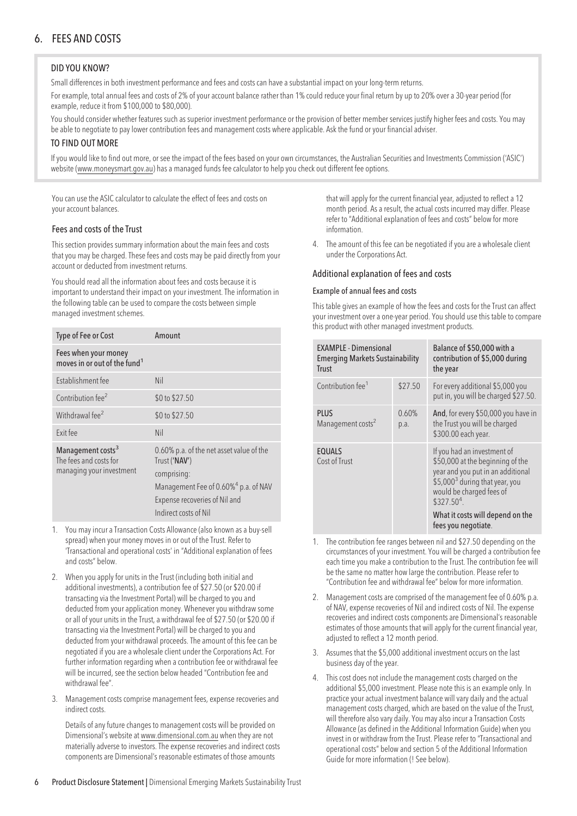## 6. FEES AND COSTS

#### DID YOU KNOW?

Small differences in both investment performance and fees and costs can have a substantial impact on your long-term returns.

For example, total annual fees and costs of 2% of your account balance rather than 1% could reduce your final return by up to 20% over a 30-year period (for example, reduce it from \$100,000 to \$80,000).

You should consider whether features such as superior investment performance or the provision of better member services justify higher fees and costs. You may be able to negotiate to pay lower contribution fees and management costs where applicable. Ask the fund or your financial adviser.

#### TO FIND OUT MORE

If you would like to find out more, or see the impact of the fees based on your own circumstances, the Australian Securities and Investments Commission ('ASIC') website (www.moneysmart.gov.au) has a managed funds fee calculator to help you check out different fee options.

You can use the ASIC calculator to calculate the effect of fees and costs on your account balances.

#### Fees and costs of the Trust

This section provides summary information about the main fees and costs that you may be charged. These fees and costs may be paid directly from your account or deducted from investment returns.

You should read all the information about fees and costs because it is important to understand their impact on your investment. The information in the following table can be used to compare the costs between simple managed investment schemes.

| Type of Fee or Cost                                                                 | Amount                                                                                                                                                                                 |  |
|-------------------------------------------------------------------------------------|----------------------------------------------------------------------------------------------------------------------------------------------------------------------------------------|--|
| Fees when your money<br>moves in or out of the fund <sup>1</sup>                    |                                                                                                                                                                                        |  |
| Establishment fee                                                                   | Nil                                                                                                                                                                                    |  |
| Contribution fee <sup>2</sup>                                                       | \$0 to \$27.50                                                                                                                                                                         |  |
| Withdrawal fee <sup>2</sup>                                                         | \$0 to \$27.50                                                                                                                                                                         |  |
| Exit fee                                                                            | Nil                                                                                                                                                                                    |  |
| Management costs <sup>3</sup><br>The fees and costs for<br>managing your investment | 0.60% p.a. of the net asset value of the<br>Trust ('NAV')<br>comprising:<br>Management Fee of 0.60% <sup>4</sup> p.a. of NAV<br>Expense recoveries of Nil and<br>Indirect costs of Nil |  |

- 1. You may incur a Transaction Costs Allowance (also known as a buy-sell spread) when your money moves in or out of the Trust. Refer to 'Transactional and operational costs' in "Additional explanation of fees and costs" below.
- 2. When you apply for units in the Trust (including both initial and additional investments), a contribution fee of \$27.50 (or \$20.00 if transacting via the Investment Portal) will be charged to you and deducted from your application money. Whenever you withdraw some or all of your units in the Trust, a withdrawal fee of \$27.50 (or \$20.00 if transacting via the Investment Portal) will be charged to you and deducted from your withdrawal proceeds. The amount of this fee can be negotiated if you are a wholesale client under the Corporations Act. For further information regarding when a contribution fee or withdrawal fee will be incurred, see the section below headed "Contribution fee and withdrawal fee".
- 3. Management costs comprise management fees, expense recoveries and indirect costs.

Details of any future changes to management costs will be provided on Dimensional's website at<www.dimensional.com.au> when they are not materially adverse to investors. The expense recoveries and indirect costs components are Dimensional's reasonable estimates of those amounts

that will apply for the current financial year, adjusted to reflect a 12 month period. As a result, the actual costs incurred may differ. Please refer to "Additional explanation of fees and costs" below for more information.

4. The amount of this fee can be negotiated if you are a wholesale client under the Corporations Act.

#### Additional explanation of fees and costs

#### Example of annual fees and costs

This table gives an example of how the fees and costs for the Trust can affect your investment over a one-year period. You should use this table to compare this product with other managed investment products.

| <b>EXAMPLE - Dimensional</b><br><b>Emerging Markets Sustainability</b><br><b>Trust</b> |               | Balance of \$50,000 with a<br>contribution of \$5,000 during<br>the year                                                                                                                                                                                  |
|----------------------------------------------------------------------------------------|---------------|-----------------------------------------------------------------------------------------------------------------------------------------------------------------------------------------------------------------------------------------------------------|
| Contribution fee <sup>1</sup>                                                          | \$27.50       | For every additional \$5,000 you<br>put in, you will be charged \$27.50.                                                                                                                                                                                  |
| <b>PLUS</b><br>Management costs <sup>2</sup>                                           | 0.60%<br>p.a. | And, for every \$50,000 you have in<br>the Trust you will be charged<br>\$300.00 each year.                                                                                                                                                               |
| <b>EQUALS</b><br>Cost of Trust                                                         |               | If you had an investment of<br>\$50,000 at the beginning of the<br>year and you put in an additional<br>\$5,000 <sup>3</sup> during that year, you<br>would be charged fees of<br>$$327.504$ .<br>What it costs will depend on the<br>fees you negotiate. |

- 1. The contribution fee ranges between nil and \$27.50 depending on the circumstances of your investment. You will be charged a contribution fee each time you make a contribution to the Trust. The contribution fee will be the same no matter how large the contribution. Please refer to "Contribution fee and withdrawal fee" below for more information.
- 2. Management costs are comprised of the management fee of 0.60% p.a. of NAV, expense recoveries of Nil and indirect costs of Nil. The expense recoveries and indirect costs components are Dimensional's reasonable estimates of those amounts that will apply for the current financial year, adjusted to reflect a 12 month period.
- 3. Assumes that the \$5,000 additional investment occurs on the last business day of the year.
- 4. This cost does not include the management costs charged on the additional \$5,000 investment. Please note this is an example only. In practice your actual investment balance will vary daily and the actual management costs charged, which are based on the value of the Trust, will therefore also vary daily. You may also incur a Transaction Costs Allowance (as defined in the Additional Information Guide) when you invest in or withdraw from the Trust. Please refer to "Transactional and operational costs" below and section 5 of the Additional Information Guide for more information (! See below).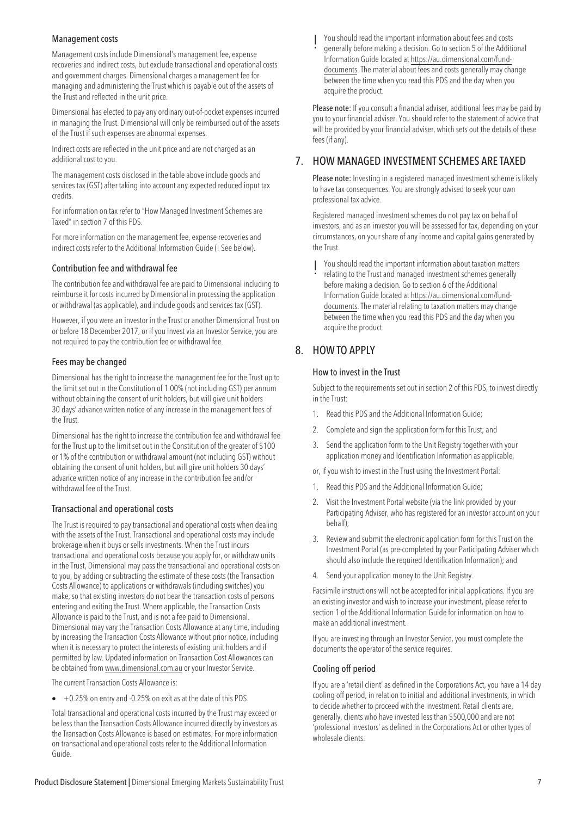#### Management costs

Management costs include Dimensional's management fee, expense recoveries and indirect costs, but exclude transactional and operational costs and government charges. Dimensional chargesa management fee for managing and administering the Trust which is payable out of the assets of the Trust and reflected in the unit price.

Dimensional has elected to payany ordinary out-of-pocket expenses incurred in managing the Trust. Dimensional will only be reimbursed out of the assets of the Trust if such expenses are abnormal expenses.

Indirect costs are reflected in the unit price and are not charged as an additional cost to you.

The management costs disclosed in the table above include goods and services tax (GST) after taking into account any expected reduced input tax credits.

For information on tax refer to "How Managed Investment Schemes are Taxed" in section 7 of this PDS.

For more information on the management fee, expense recoveries and indirect costs refer to the Additional Information Guide (! See below).

#### Contribution fee and withdrawal fee

The contribution fee and withdrawal fee are paid to Dimensional including to reimburse it for costs incurred by Dimensional in processing the application or withdrawal (as applicable), and include goods and services tax (GST).

However, if you were an investor in the Trust or another Dimensional Trust on or before 18 December 2017, or if you invest viaan Investor Service, you are not required to pay the contribution fee or withdrawal fee.

#### Fees may be changed

Dimensional has the right to increase the management fee for the Trust up to the limit set out in the Constitution of 1.00% (not including GST) perannum without obtaining the consent of unit holders, but will give unit holders 30 days' advance written notice of any increase in the management fees of the Trust.

Dimensional has the right to increase the contribution fee and withdrawal fee for the Trust up to the limit set out in the Constitution of the greater of \$100 or 1% of the contribution or withdrawal amount (not including GST) without obtaining the consent of unit holders, but will give unit holders 30 days' advance written notice of any increase in the contribution fee and/or withdrawal fee of the Trust.

#### Transactional and operational costs

The Trust is required to pay transactional and operational costs when dealing with the assets of the Trust. Transactional and operational costs may include brokerage when it buys or sells investments. When the Trust incurs transactional and operational costs because you apply for, or withdraw units in the Trust, Dimensional may pass the transactional and operational costs on to you, by adding or subtracting the estimate of these costs (the Transaction Costs Allowance) to applications or withdrawals (including switches) you make, so that existing investors do not bear the transaction costs of persons entering and exiting the Trust. Where applicable, the Transaction Costs Allowance is paid to the Trust, and is not a fee paid to Dimensional. Dimensional may vary the Transaction Costs Allowance atany time, including by increasing the Transaction Costs Allowance without prior notice, including when it is necessary to protect the interests of existing unit holders and if permitted by law. Updated information on Transaction Cost Allowances can be obtained from <www.dimensional.com.au> or your Investor Service.

The current Transaction Costs Allowance is:

• +0.25% on entry and -0.25% on exit as at the date of this PDS.

Total transactional and operational costs incurred by the Trust may exceed or be less than the Transaction Costs Allowance incurred directly by investors as the Transaction Costs Allowance is based on estimates. For more information on transactional and operational costs refer to the Additional Information Guide.

! You should read the important information about fees and costs generally before making a decision. Go to section 5 of the Additional Information Guide located at [https://au.dimensional.com/fund](https://au.dimensional.com/fund-documents)[documents.](https://au.dimensional.com/fund-documents) The material about fees and costs generally may change between the time when you read this PDS and the day when you acquire the product.

Please note: If you consult a financial adviser, additional fees may be paid by you to your financial adviser. You should refer to the statement of advice that will be provided by your financial adviser, which sets out the details of these fees (if any).

### 7. HOW MANAGED INVESTMENT SCHEMES ARE TAXED

Please note: Investing in a registered managed investment scheme is likely to have tax consequences. You are strongly advised to seek your own professional tax advice.

Registered managed investment schemes do not pay tax on behalf of investors, and as an investor you will be assessed for tax, depending on your circumstances, on your share of any income and capital gains generated by the Trust.

- 
- ! You should read the important information about taxation matters relating to the Trust and managed investment schemes generally before making a decision. Go to section 6 of the Additional Information Guide located at [https://au.dimensional.com/fund](https://au.dimensional.com/fund-documents)[documents.](https://au.dimensional.com/fund-documents) The material relating to taxation matters may change between the time when you read this PDS and the day when you acquire the product.

## 8. HOW TO APPLY

#### How to invest in the Trust

Subject to the requirements set out in section 2 of this PDS, to invest directly in the Trust:

- 1. Read this PDS and the Additional Information Guide;
- 2. Complete and sign the application form for this Trust; and
- 3. Send the application form to the Unit Registry together with your application money and Identification Information as applicable,
- or, if you wish to invest in the Trust using the Investment Portal:
- 1. Read this PDS and the Additional Information Guide;
- 2. Visit the Investment Portal website (via the link provided by your Participating Adviser, who has registered for an investor account on your behalf);
- 3. Review and submit the electronic application form for this Trust on the Investment Portal (as pre-completed by your Participating Adviser which should also include the required Identification Information); and
- 4. Send your application money to the Unit Registry.

Facsimile instructions will not be accepted for initial applications. If you are an existing investor and wish to increase your investment, please refer to section 1 of the Additional Information Guide for information on how to make an additional investment.

If you are investing through an Investor Service, you must complete the documents the operator of the service requires.

#### Cooling off period

If you are a 'retail client' as defined in the Corporations Act, you have a 14 day cooling off period, in relation to initial and additional investments, in which to decide whether to proceed with the investment. Retail clients are, generally, clients who have invested less than \$500,000 and are not 'professional investors' as defined in the Corporations Act or other types of wholesale clients.